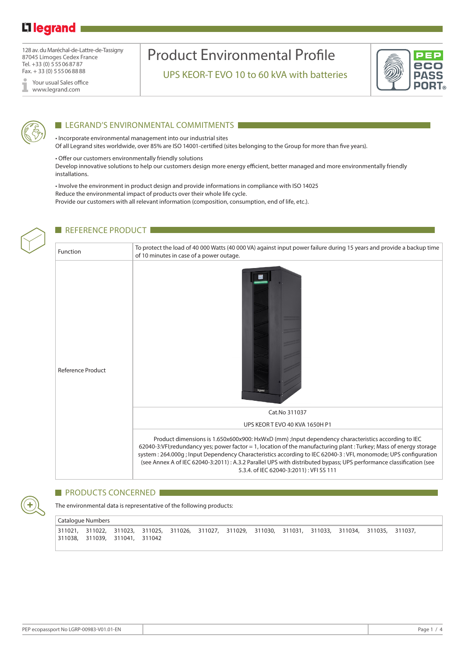## Li legrand

128 av. du Maréchal-de-Lattre-de-Tassigny 87045 Limoges Cedex France Tel. +33 (0) 555068787 Fax. + 33 (0) 555068888

Your usual Sales office www.legrand.com

# Product Environmental Profile

UPS KEOR-T EVO 10 to 60 kVA with batteries





#### **LEGRAND'S ENVIRONMENTAL COMMITMENTS**

• Incorporate environmental management into our industrial sites Of all Legrand sites worldwide, over 85% are ISO 14001-certified (sites belonging to the Group for more than five years).

• Offer our customers environmentally friendly solutions Develop innovative solutions to help our customers design more energy efficient, better managed and more environmentally friendly installations.

• Involve the environment in product design and provide informations in compliance with ISO 14025 Reduce the environmental impact of products over their whole life cycle. Provide our customers with all relevant information (composition, consumption, end of life, etc.).



#### REFERENCE PRODUCT

Function To protect the load of 40 000 Watts (40 000 VA) against input power failure during 15 years and provide a backup time of 10 minutes in case of a power outage. 置 Reference Product Cat.No 311037 UPS KEOR T EVO 40 KVA 1650H P1 Product dimensions is 1.650x600x900: HxWxD (mm) ;Input dependency characteristics according to IEC 62040-3:VFI;redundancy yes; power factor = 1, location of the manufacturing plant : Turkey; Mass of energy storage system : 264.000g ; Input Dependency Characteristics according to IEC 62040-3 : VFI, monomode; UPS configuration (see Annex A of IEC 62040-3:2011) : A.3.2 Parallel UPS with distributed bypass; UPS performance classification (see 5.3.4. of IEC 62040-3:2011) : VFI SS 111

#### PRODUCTS CONCERNED

The environmental data is representative of the following products:

Catalogue Numbers 311021, 311022, 311023, 311025, 311026, 311027, 311029, 311030, 311031, 311033, 311034, 311035, 311037, 311038, 311039, 311041, 311042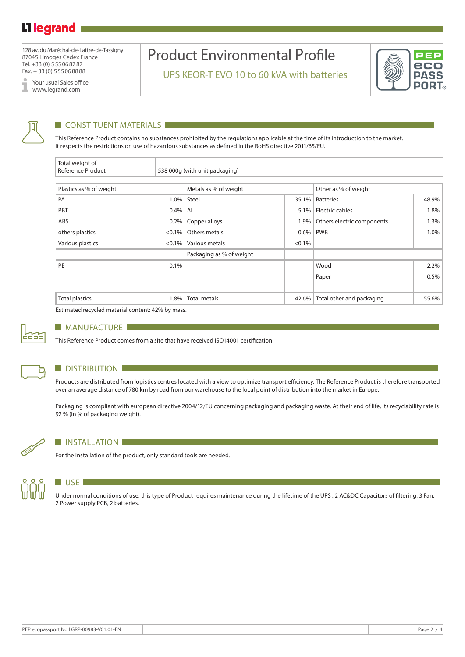128 av. du Maréchal-de-Lattre-de-Tassigny 87045 Limoges Cedex France Tel. +33 (0) 555068787 Fax. + 33 (0) 555068888

Your usual Sales office I www.legrand.com

## Product Environmental Profile

UPS KEOR-T EVO 10 to 60 kVA with batteries





### **CONSTITUENT MATERIALS**

This Reference Product contains no substances prohibited by the regulations applicable at the time of its introduction to the market. It respects the restrictions on use of hazardous substances as defined in the RoHS directive 2011/65/EU.

| Total weight of<br>Reference Product |           | 538 000g (with unit packaging) |           |                            |       |  |  |
|--------------------------------------|-----------|--------------------------------|-----------|----------------------------|-------|--|--|
|                                      |           |                                |           |                            |       |  |  |
| Plastics as % of weight              |           | Metals as % of weight          |           | Other as % of weight       |       |  |  |
| PA                                   | $1.0\%$   | Steel                          | 35.1%     | <b>Batteries</b>           | 48.9% |  |  |
| PBT                                  | $0.4\%$   | AI                             | 5.1%      | Electric cables            | 1.8%  |  |  |
| ABS                                  | 0.2%      | Copper alloys                  | 1.9%      | Others electric components | 1.3%  |  |  |
| others plastics                      | $< 0.1\%$ | Others metals                  | 0.6%      | <b>PWB</b>                 | 1.0%  |  |  |
| Various plastics                     | $< 0.1\%$ | Various metals                 | $< 0.1\%$ |                            |       |  |  |
|                                      |           | Packaging as % of weight       |           |                            |       |  |  |
| PE                                   | 0.1%      |                                |           | Wood                       | 2.2%  |  |  |
|                                      |           |                                |           | Paper                      | 0.5%  |  |  |
|                                      |           |                                |           |                            |       |  |  |
| <b>Total plastics</b>                | 1.8%      | <b>Total metals</b>            | 42.6%     | Total other and packaging  | 55.6% |  |  |

Estimated recycled material content: 42% by mass.



#### **MANUFACTURE**

This Reference Product comes from a site that have received ISO14001 certification.



#### **DISTRIBUTION**

Products are distributed from logistics centres located with a view to optimize transport efficiency. The Reference Product is therefore transported over an average distance of 780 km by road from our warehouse to the local point of distribution into the market in Europe.

Packaging is compliant with european directive 2004/12/EU concerning packaging and packaging waste. At their end of life, its recyclability rate is 92 % (in % of packaging weight).



#### **INSTALLATION**

For the installation of the product, only standard tools are needed.



### **USE**

Under normal conditions of use, this type of Product requires maintenance during the lifetime of the UPS : 2 AC&DC Capacitors of filtering, 3 Fan, 2 Power supply PCB, 2 batteries.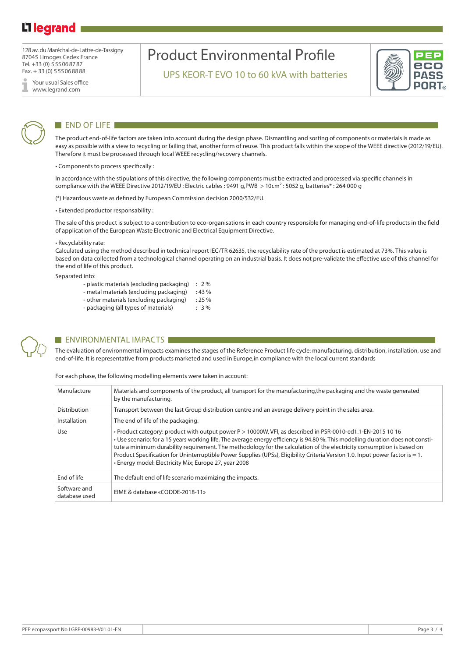## L<sub>legrand</sub>

128 av. du Maréchal-de-Lattre-de-Tassigny 87045 Limoges Cedex France Tel. +33 (0) 555068787 Fax. + 33 (0) 555068888

Your usual Sales office www.legrand.com

# Product Environmental Profile

UPS KEOR-T EVO 10 to 60 kVA with batteries





### END OF LIFE

The product end-of-life factors are taken into account during the design phase. Dismantling and sorting of components or materials is made as easy as possible with a view to recycling or failing that, another form of reuse. This product falls within the scope of the WEEE directive (2012/19/EU). Therefore it must be processed through local WEEE recycling/recovery channels.

• Components to process specifically :

In accordance with the stipulations of this directive, the following components must be extracted and processed via specific channels in compliance with the WEEE Directive 2012/19/EU : Electric cables : 9491 g,PWB > 10cm² : 5052 g, batteries\* : 264 000 g

(\*) Hazardous waste as defined by European Commission decision 2000/532/EU.

• Extended productor responsability :

The sale of this product is subject to a contribution to eco-organisations in each country responsible for managing end-of-life products in the field of application of the European Waste Electronic and Electrical Equipment Directive.

#### • Recyclability rate:

Calculated using the method described in technical report IEC/TR 62635, the recyclability rate of the product is estimated at 73%. This value is based on data collected from a technological channel operating on an industrial basis. It does not pre-validate the effective use of this channel for the end of life of this product.

Separated into:

- plastic materials (excluding packaging) : 2 %
- metal materials (excluding packaging) : 43 % - other materials (excluding packaging) : 25 %
- packaging (all types of materials) : 3 %
- 



#### **ENVIRONMENTAL IMPACTS**

The evaluation of environmental impacts examines the stages of the Reference Product life cycle: manufacturing, distribution, installation, use and end-of-life. It is representative from products marketed and used in Europe,in compliance with the local current standards

For each phase, the following modelling elements were taken in account:

| Manufacture                   | Materials and components of the product, all transport for the manufacturing, the packaging and the waste generated<br>by the manufacturing.                                                                                                                                                                                                                                                                                                                                                                                                                      |
|-------------------------------|-------------------------------------------------------------------------------------------------------------------------------------------------------------------------------------------------------------------------------------------------------------------------------------------------------------------------------------------------------------------------------------------------------------------------------------------------------------------------------------------------------------------------------------------------------------------|
| <b>Distribution</b>           | Transport between the last Group distribution centre and an average delivery point in the sales area.                                                                                                                                                                                                                                                                                                                                                                                                                                                             |
| Installation                  | The end of life of the packaging.                                                                                                                                                                                                                                                                                                                                                                                                                                                                                                                                 |
| Use                           | · Product category: product with output power P > 10000W, VFI, as described in PSR-0010-ed1.1-EN-2015 10 16<br>• Use scenario: for a 15 years working life, The average energy efficiency is 94.80 %. This modelling duration does not consti-<br>tute a minimum durability requirement. The methodology for the calculation of the electricity consumption is based on<br>Product Specification for Uninterruptible Power Supplies (UPSs), Eligibility Criteria Version 1.0. Input power factor is = 1.<br>• Energy model: Electricity Mix; Europe 27, year 2008 |
| End of life                   | The default end of life scenario maximizing the impacts.                                                                                                                                                                                                                                                                                                                                                                                                                                                                                                          |
| Software and<br>database used | EIME & database «CODDE-2018-11»                                                                                                                                                                                                                                                                                                                                                                                                                                                                                                                                   |